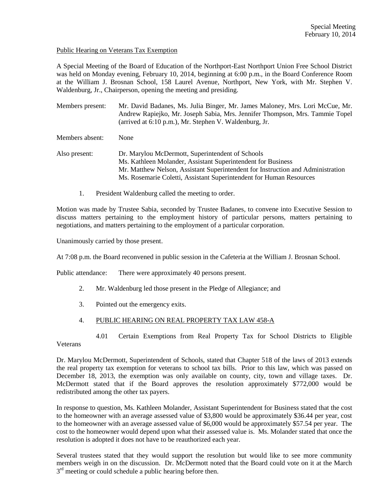## Public Hearing on Veterans Tax Exemption

A Special Meeting of the Board of Education of the Northport-East Northport Union Free School District was held on Monday evening, February 10, 2014, beginning at 6:00 p.m., in the Board Conference Room at the William J. Brosnan School, 158 Laurel Avenue, Northport, New York, with Mr. Stephen V. Waldenburg, Jr., Chairperson, opening the meeting and presiding.

Members present: Mr. David Badanes, Ms. Julia Binger, Mr. James Maloney, Mrs. Lori McCue, Mr. Andrew Rapiejko, Mr. Joseph Sabia, Mrs. Jennifer Thompson, Mrs. Tammie Topel (arrived at 6:10 p.m.), Mr. Stephen V. Waldenburg, Jr.

Members absent: None

- Also present: Dr. Marylou McDermott, Superintendent of Schools Ms. Kathleen Molander, Assistant Superintendent for Business Mr. Matthew Nelson, Assistant Superintendent for Instruction and Administration Ms. Rosemarie Coletti, Assistant Superintendent for Human Resources
	- 1. President Waldenburg called the meeting to order.

Motion was made by Trustee Sabia, seconded by Trustee Badanes, to convene into Executive Session to discuss matters pertaining to the employment history of particular persons, matters pertaining to negotiations, and matters pertaining to the employment of a particular corporation.

Unanimously carried by those present.

At 7:08 p.m. the Board reconvened in public session in the Cafeteria at the William J. Brosnan School.

Public attendance: There were approximately 40 persons present.

- 2. Mr. Waldenburg led those present in the Pledge of Allegiance; and
- 3. Pointed out the emergency exits.

## 4. PUBLIC HEARING ON REAL PROPERTY TAX LAW 458-A

4.01 Certain Exemptions from Real Property Tax for School Districts to Eligible

Veterans

Dr. Marylou McDermott, Superintendent of Schools, stated that Chapter 518 of the laws of 2013 extends the real property tax exemption for veterans to school tax bills. Prior to this law, which was passed on December 18, 2013, the exemption was only available on county, city, town and village taxes. Dr. McDermott stated that if the Board approves the resolution approximately \$772,000 would be redistributed among the other tax payers.

In response to question, Ms. Kathleen Molander, Assistant Superintendent for Business stated that the cost to the homeowner with an average assessed value of \$3,800 would be approximately \$36.44 per year, cost to the homeowner with an average assessed value of \$6,000 would be approximately \$57.54 per year. The cost to the homeowner would depend upon what their assessed value is. Ms. Molander stated that once the resolution is adopted it does not have to be reauthorized each year.

Several trustees stated that they would support the resolution but would like to see more community members weigh in on the discussion. Dr. McDermott noted that the Board could vote on it at the March  $3<sup>rd</sup>$  meeting or could schedule a public hearing before then.